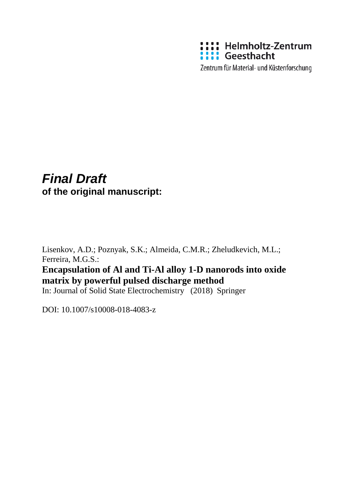

Zentrum für Material- und Küstenforschung

### *Final Draft*  **of the original manuscript:**

Lisenkov, A.D.; Poznyak, S.K.; Almeida, C.M.R.; Zheludkevich, M.L.; Ferreira, M.G.S.:

**Encapsulation of Al and Ti-Al alloy 1-D nanorods into oxide matrix by powerful pulsed discharge method**

In: Journal of Solid State Electrochemistry (2018) Springer

DOI: 10.1007/s10008-018-4083-z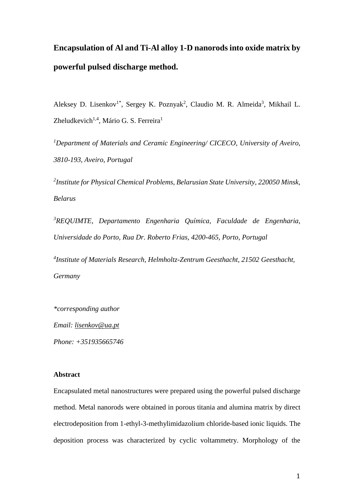# **Encapsulation of Al and Ti-Al alloy 1-D nanorods into oxide matrix by powerful pulsed discharge method.**

Aleksey D. Lisenkov<sup>1\*</sup>, Sergey K. Poznyak<sup>2</sup>, Claudio M. R. Almeida<sup>3</sup>, Mikhail L. Zheludkevich<sup>1,4</sup>, Mário G. S. Ferreira<sup>1</sup>

*<sup>1</sup>Department of Materials and Ceramic Engineering/ CICECO, University of Aveiro, 3810-193, Aveiro, Portugal*

*2 Institute for Physical Chemical Problems, Belarusian State University, 220050 Minsk, Belarus*

*<sup>3</sup>REQUIMTE, Departamento Engenharia Química, Faculdade de Engenharia, Universidade do Porto, Rua Dr. Roberto Frias, 4200-465, Porto, Portugal*

*4 Institute of Materials Research, Helmholtz-Zentrum Geesthacht, 21502 Geesthacht, Germany*

*\*corresponding author*

*Email: [lisenkov@ua.pt](mailto:lisenkov@ua.pt)*

*Phone: +351935665746*

#### **Abstract**

Encapsulated metal nanostructures were prepared using the powerful pulsed discharge method. Metal nanorods were obtained in porous titania and alumina matrix by direct electrodeposition from 1-ethyl-3-methylimidazolium chloride-based ionic liquids. The deposition process was characterized by cyclic voltammetry. Morphology of the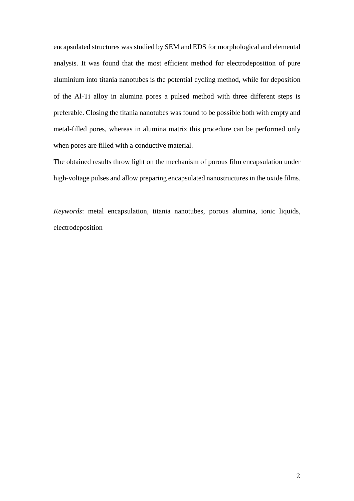encapsulated structures was studied by SEM and EDS for morphological and elemental analysis. It was found that the most efficient method for electrodeposition of pure aluminium into titania nanotubes is the potential cycling method, while for deposition of the Al-Ti alloy in alumina pores a pulsed method with three different steps is preferable. Closing the titania nanotubes was found to be possible both with empty and metal-filled pores, whereas in alumina matrix this procedure can be performed only when pores are filled with a conductive material.

The obtained results throw light on the mechanism of porous film encapsulation under high-voltage pulses and allow preparing encapsulated nanostructures in the oxide films.

*Keywords*: metal encapsulation, titania nanotubes, porous alumina, ionic liquids, electrodeposition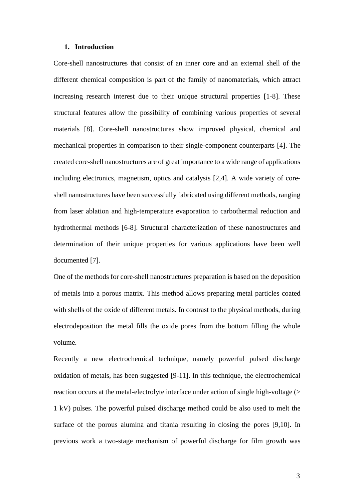#### **1. Introduction**

Core-shell nanostructures that consist of an inner core and an external shell of the different chemical composition is part of the family of nanomaterials, which attract increasing research interest due to their unique structural properties [\[1-8\]](#page-14-0). These structural features allow the possibility of combining various properties of several materials [\[8\]](#page-15-0). Core-shell nanostructures show improved physical, chemical and mechanical properties in comparison to their single-component counterparts [\[4\]](#page-14-1). The created core-shell nanostructures are of great importance to a wide range of applications including electronics, magnetism, optics and catalysis [\[2](#page-14-2)[,4\]](#page-14-1). A wide variety of coreshell nanostructures have been successfully fabricated using different methods, ranging from laser ablation and high-temperature evaporation to carbothermal reduction and hydrothermal methods [\[6-8\]](#page-14-3). Structural characterization of these nanostructures and determination of their unique properties for various applications have been well documented [\[7\]](#page-14-4).

One of the methods for core-shell nanostructures preparation is based on the deposition of metals into a porous matrix. This method allows preparing metal particles coated with shells of the oxide of different metals. In contrast to the physical methods, during electrodeposition the metal fills the oxide pores from the bottom filling the whole volume.

Recently a new electrochemical technique, namely powerful pulsed discharge oxidation of metals, has been suggested [\[9-11\]](#page-15-1). In this technique, the electrochemical reaction occurs at the metal-electrolyte interface under action of single high-voltage (> 1 kV) pulses. The powerful pulsed discharge method could be also used to melt the surface of the porous alumina and titania resulting in closing the pores [\[9](#page-15-1)[,10\]](#page-15-2). In previous work a two-stage mechanism of powerful discharge for film growth was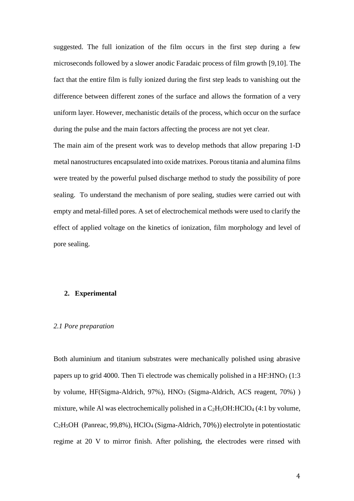suggested. The full ionization of the film occurs in the first step during a few microseconds followed by a slower anodic Faradaic process of film growth [\[9](#page-15-1)[,10\]](#page-15-2). The fact that the entire film is fully ionized during the first step leads to vanishing out the difference between different zones of the surface and allows the formation of a very uniform layer. However, mechanistic details of the process, which occur on the surface during the pulse and the main factors affecting the process are not yet clear.

The main aim of the present work was to develop methods that allow preparing 1-D metal nanostructures encapsulated into oxide matrixes. Porous titania and alumina films were treated by the powerful pulsed discharge method to study the possibility of pore sealing. To understand the mechanism of pore sealing, studies were carried out with empty and metal-filled pores. A set of electrochemical methods were used to clarify the effect of applied voltage on the kinetics of ionization, film morphology and level of pore sealing.

#### **2. Experimental**

#### *2.1 Pore preparation*

Both aluminium and titanium substrates were mechanically polished using abrasive papers up to grid 4000. Then Ti electrode was chemically polished in a  $HF: HNO<sub>3</sub> (1:3)$ by volume, HF(Sigma-Aldrich, 97%), HNO<sub>3</sub> (Sigma-Aldrich, ACS reagent, 70%)) mixture, while Al was electrochemically polished in a  $C_2H_5OH:HClO_4$  (4:1 by volume, C2H5OH (Panreac, 99,8%), HClO<sup>4</sup> (Sigma-Aldrich, 70%)) electrolyte in potentiostatic regime at 20 V to mirror finish. After polishing, the electrodes were rinsed with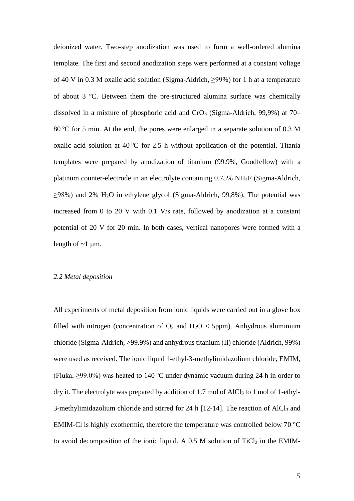deionized water. Two-step anodization was used to form a well-ordered alumina template. The first and second anodization steps were performed at a constant voltage of 40 V in 0.3 M oxalic acid solution (Sigma-Aldrich, ≥99%) for 1 h at a temperature of about 3 ºC. Between them the pre-structured alumina surface was chemically dissolved in a mixture of phosphoric acid and  $CrO<sub>3</sub>$  (Sigma-Aldrich, 99,9%) at 70– 80 ºC for 5 min. At the end, the pores were enlarged in a separate solution of 0.3 M oxalic acid solution at 40 ºC for 2.5 h without application of the potential. Titania templates were prepared by anodization of titanium (99.9%, Goodfellow) with a platinum counter-electrode in an electrolyte containing 0.75% NH4F (Sigma-Aldrich,  $\geq$ 98%) and 2% H<sub>2</sub>O in ethylene glycol (Sigma-Aldrich, 99,8%). The potential was increased from 0 to 20 V with 0.1 V/s rate, followed by anodization at a constant potential of 20 V for 20 min. In both cases, vertical nanopores were formed with a length of  $\sim$ 1 µm.

#### *2.2 Metal deposition*

All experiments of metal deposition from ionic liquids were carried out in a glove box filled with nitrogen (concentration of  $O_2$  and  $H_2O <$  5ppm). Anhydrous aluminium chloride (Sigma-Aldrich, >99.9%) and anhydrous titanium (II) chloride (Aldrich, 99%) were used as received. The ionic liquid 1-ethyl-3-methylimidazolium chloride, EMIM, (Fluka, ≥99.0%) was heated to 140 ºC under dynamic vacuum during 24 h in order to dry it. The electrolyte was prepared by addition of 1.7 mol of AlCl<sub>3</sub> to 1 mol of 1-ethyl-3-methylimidazolium chloride and stirred for 24 h [\[12-14\]](#page-15-3). The reaction of AlCl<sup>3</sup> and EMIM-Cl is highly exothermic, therefore the temperature was controlled below 70 °C to avoid decomposition of the ionic liquid. A  $0.5$  M solution of TiCl<sub>2</sub> in the EMIM-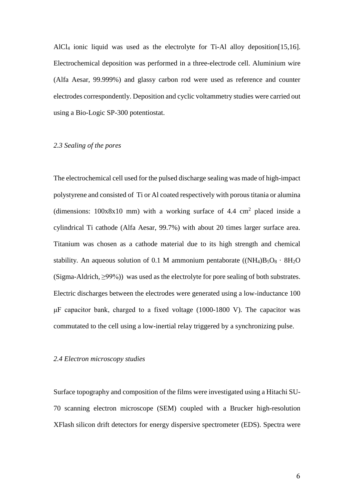AlCl<sup>4</sup> ionic liquid was used as the electrolyte for Ti-Al alloy deposition[\[15](#page-15-4)[,16\]](#page-15-5). Electrochemical deposition was performed in a three-electrode cell. Aluminium wire (Alfa Aesar, 99.999%) and glassy carbon rod were used as reference and counter electrodes correspondently. Deposition and cyclic voltammetry studies were carried out using a Bio-Logic SP-300 potentiostat.

#### *2.3 Sealing of the pores*

The electrochemical cell used for the pulsed discharge sealing was made of high-impact polystyrene and consisted of Ti or Al coated respectively with porous titania or alumina (dimensions:  $100x8x10$  mm) with a working surface of 4.4 cm<sup>2</sup> placed inside a cylindrical Ti cathode (Alfa Aesar, 99.7%) with about 20 times larger surface area. Titanium was chosen as a cathode material due to its high strength and chemical stability. An aqueous solution of 0.1 M ammonium pentaborate  $((NH_4)B_5O_8 \cdot 8H_2O$ (Sigma-Aldrich, ≥99%)) was used as the electrolyte for pore sealing of both substrates. Electric discharges between the electrodes were generated using a low-inductance 100 μF capacitor bank, charged to a fixed voltage (1000-1800 V). The capacitor was commutated to the cell using a low-inertial relay triggered by a synchronizing pulse.

#### *2.4 Electron microscopy studies*

Surface topography and composition of the films were investigated using a Hitachi SU-70 scanning electron microscope (SEM) coupled with a Brucker high-resolution XFlash silicon drift detectors for energy dispersive spectrometer (EDS). Spectra were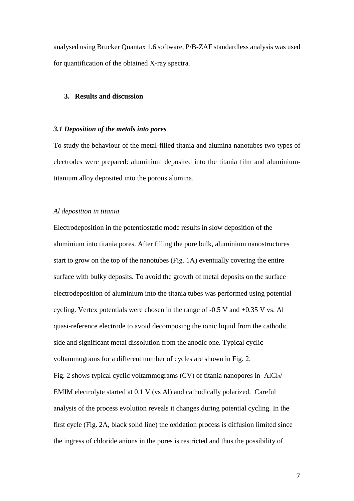analysed using Brucker Quantax 1.6 software, P/B-ZAF standardless analysis was used for quantification of the obtained X-ray spectra.

#### **3. Results and discussion**

#### *3.1 Deposition of the metals into pores*

To study the behaviour of the metal-filled titania and alumina nanotubes two types of electrodes were prepared: aluminium deposited into the titania film and aluminiumtitanium alloy deposited into the porous alumina.

#### *Al deposition in titania*

Electrodeposition in the potentiostatic mode results in slow deposition of the aluminium into titania pores. After filling the pore bulk, aluminium nanostructures start to grow on the top of the nanotubes (Fig. 1A) eventually covering the entire surface with bulky deposits. To avoid the growth of metal deposits on the surface electrodeposition of aluminium into the titania tubes was performed using potential cycling. Vertex potentials were chosen in the range of -0.5 V and +0.35 V vs. Al quasi-reference electrode to avoid decomposing the ionic liquid from the cathodic side and significant metal dissolution from the anodic one. Typical cyclic voltammograms for a different number of cycles are shown in Fig. 2. Fig. 2 shows typical cyclic voltammograms (CV) of titania nanopores in AlCl $_3$ / EMIM electrolyte started at 0.1 V (vs Al) and cathodically polarized. Careful analysis of the process evolution reveals it changes during potential cycling. In the first cycle (Fig. 2A, black solid line) the oxidation process is diffusion limited since the ingress of chloride anions in the pores is restricted and thus the possibility of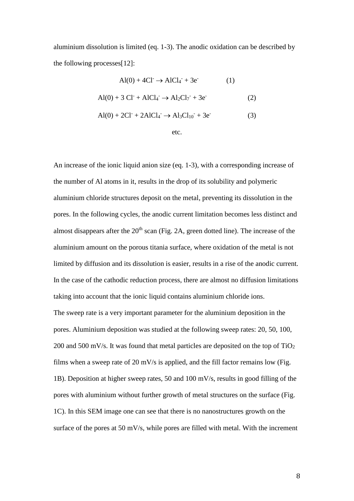aluminium dissolution is limited (eq. 1-3). The anodic oxidation can be described by the following processes[12]:

$$
Al(0) + 4Cl+ \rightarrow AlCl4- + 3e-
$$
 (1)  
Al(0) + 3 Cl<sup>-</sup> + AlCl<sub>4</sub><sup>-</sup> \rightarrow Al<sub>2</sub>Cl<sub>7</sub><sup>-</sup> + 3e<sup>-</sup> (2)  
Al(0) + 2Cl<sup>-</sup> + 2AlCl<sub>4</sub><sup>-</sup> \rightarrow Al<sub>3</sub>Cl<sub>10</sub><sup>-</sup> + 3e<sup>-</sup> (3)

etc.

An increase of the ionic liquid anion size (eq. 1-3), with a corresponding increase of the number of Al atoms in it, results in the drop of its solubility and polymeric aluminium chloride structures deposit on the metal, preventing its dissolution in the pores. In the following cycles, the anodic current limitation becomes less distinct and almost disappears after the  $20<sup>th</sup>$  scan (Fig. 2A, green dotted line). The increase of the aluminium amount on the porous titania surface, where oxidation of the metal is not limited by diffusion and its dissolution is easier, results in a rise of the anodic current. In the case of the cathodic reduction process, there are almost no diffusion limitations taking into account that the ionic liquid contains aluminium chloride ions.

The sweep rate is a very important parameter for the aluminium deposition in the pores. Aluminium deposition was studied at the following sweep rates: 20, 50, 100, 200 and 500 mV/s. It was found that metal particles are deposited on the top of TiO<sup>2</sup> films when a sweep rate of 20 mV/s is applied, and the fill factor remains low (Fig. 1B). Deposition at higher sweep rates, 50 and 100 mV/s, results in good filling of the pores with aluminium without further growth of metal structures on the surface (Fig. 1C). In this SEM image one can see that there is no nanostructures growth on the surface of the pores at 50 mV/s, while pores are filled with metal. With the increment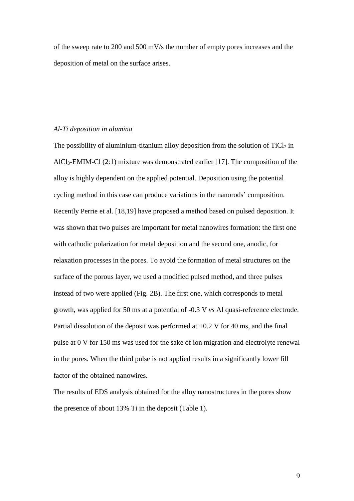of the sweep rate to 200 and 500 mV/s the number of empty pores increases and the deposition of metal on the surface arises.

#### *Al-Ti deposition in alumina*

The possibility of aluminium-titanium alloy deposition from the solution of  $TiCl<sub>2</sub>$  in AlCl3-EMIM-Cl (2:1) mixture was demonstrated earlier [\[17\]](#page-15-6). The composition of the alloy is highly dependent on the applied potential. Deposition using the potential cycling method in this case can produce variations in the nanorods' composition. Recently Perrie et al. [18[,19\]](#page-15-7) have proposed a method based on pulsed deposition. It was shown that two pulses are important for metal nanowires formation: the first one with cathodic polarization for metal deposition and the second one, anodic, for relaxation processes in the pores. To avoid the formation of metal structures on the surface of the porous layer, we used a modified pulsed method, and three pulses instead of two were applied (Fig. 2B). The first one, which corresponds to metal growth, was applied for 50 ms at a potential of -0.3 V *vs* Al quasi-reference electrode. Partial dissolution of the deposit was performed at +0.2 V for 40 ms, and the final pulse at 0 V for 150 ms was used for the sake of ion migration and electrolyte renewal in the pores. When the third pulse is not applied results in a significantly lower fill factor of the obtained nanowires.

The results of EDS analysis obtained for the alloy nanostructures in the pores show the presence of about 13% Ti in the deposit (Table 1).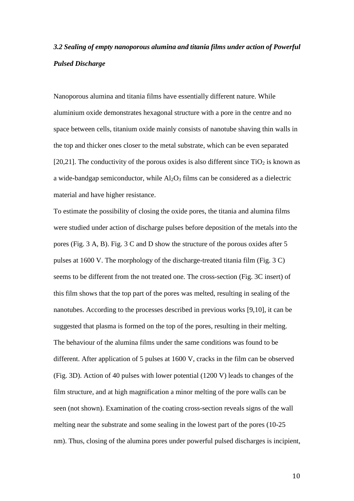### *3.2 Sealing of empty nanoporous alumina and titania films under action of Powerful Pulsed Discharge*

Nanoporous alumina and titania films have essentially different nature. While aluminium oxide demonstrates hexagonal structure with a pore in the centre and no space between cells, titanium oxide mainly consists of nanotube shaving thin walls in the top and thicker ones closer to the metal substrate, which can be even separated [\[20,21\]](#page-15-8). The conductivity of the porous oxides is also different since  $TiO<sub>2</sub>$  is known as a wide-bandgap semiconductor, while  $Al_2O_3$  films can be considered as a dielectric material and have higher resistance.

To estimate the possibility of closing the oxide pores, the titania and alumina films were studied under action of discharge pulses before deposition of the metals into the pores (Fig. 3 A, B). Fig. 3 C and D show the structure of the porous oxides after 5 pulses at 1600 V. The morphology of the discharge-treated titania film (Fig. 3 C) seems to be different from the not treated one. The cross-section (Fig. 3C insert) of this film shows that the top part of the pores was melted, resulting in sealing of the nanotubes. According to the processes described in previous works [9,10], it can be suggested that plasma is formed on the top of the pores, resulting in their melting. The behaviour of the alumina films under the same conditions was found to be different. After application of 5 pulses at 1600 V, cracks in the film can be observed (Fig. 3D). Action of 40 pulses with lower potential (1200 V) leads to changes of the film structure, and at high magnification a minor melting of the pore walls can be seen (not shown). Examination of the coating cross-section reveals signs of the wall melting near the substrate and some sealing in the lowest part of the pores (10-25 nm). Thus, closing of the alumina pores under powerful pulsed discharges is incipient,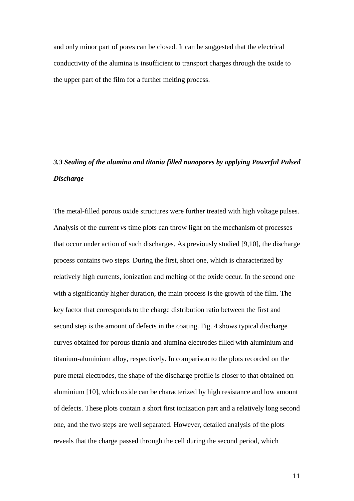and only minor part of pores can be closed. It can be suggested that the electrical conductivity of the alumina is insufficient to transport charges through the oxide to the upper part of the film for a further melting process.

## *3.3 Sealing of the alumina and titania filled nanopores by applying Powerful Pulsed Discharge*

The metal-filled porous oxide structures were further treated with high voltage pulses. Analysis of the current *vs* time plots can throw light on the mechanism of processes that occur under action of such discharges. As previously studied [\[9](#page-15-1)[,10\]](#page-15-2), the discharge process contains two steps. During the first, short one, which is characterized by relatively high currents, ionization and melting of the oxide occur. In the second one with a significantly higher duration, the main process is the growth of the film. The key factor that corresponds to the charge distribution ratio between the first and second step is the amount of defects in the coating. Fig. 4 shows typical discharge curves obtained for porous titania and alumina electrodes filled with aluminium and titanium-aluminium alloy, respectively. In comparison to the plots recorded on the pure metal electrodes, the shape of the discharge profile is closer to that obtained on aluminium [\[10\]](#page-15-2), which oxide can be characterized by high resistance and low amount of defects. These plots contain a short first ionization part and a relatively long second one, and the two steps are well separated. However, detailed analysis of the plots reveals that the charge passed through the cell during the second period, which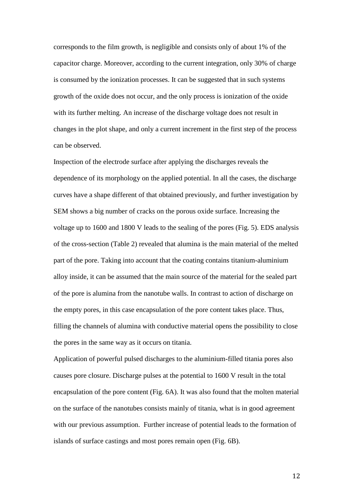corresponds to the film growth, is negligible and consists only of about 1% of the capacitor charge. Moreover, according to the current integration, only 30% of charge is consumed by the ionization processes. It can be suggested that in such systems growth of the oxide does not occur, and the only process is ionization of the oxide with its further melting. An increase of the discharge voltage does not result in changes in the plot shape, and only a current increment in the first step of the process can be observed.

Inspection of the electrode surface after applying the discharges reveals the dependence of its morphology on the applied potential. In all the cases, the discharge curves have a shape different of that obtained previously, and further investigation by SEM shows a big number of cracks on the porous oxide surface. Increasing the voltage up to 1600 and 1800 V leads to the sealing of the pores (Fig. 5). EDS analysis of the cross-section (Table 2) revealed that alumina is the main material of the melted part of the pore. Taking into account that the coating contains titanium-aluminium alloy inside, it can be assumed that the main source of the material for the sealed part of the pore is alumina from the nanotube walls. In contrast to action of discharge on the empty pores, in this case encapsulation of the pore content takes place. Thus, filling the channels of alumina with conductive material opens the possibility to close the pores in the same way as it occurs on titania.

Application of powerful pulsed discharges to the aluminium-filled titania pores also causes pore closure. Discharge pulses at the potential to 1600 V result in the total encapsulation of the pore content (Fig. 6A). It was also found that the molten material on the surface of the nanotubes consists mainly of titania, what is in good agreement with our previous assumption. Further increase of potential leads to the formation of islands of surface castings and most pores remain open (Fig. 6B).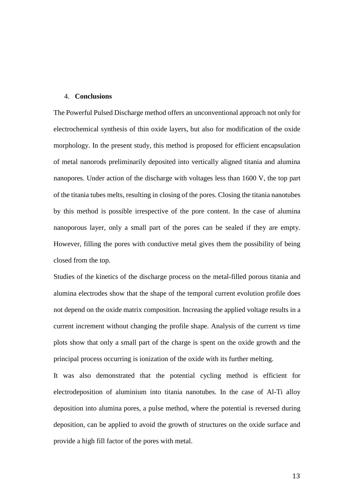#### 4. **Conclusions**

The Powerful Pulsed Discharge method offers an unconventional approach not only for electrochemical synthesis of thin oxide layers, but also for modification of the oxide morphology. In the present study, this method is proposed for efficient encapsulation of metal nanorods preliminarily deposited into vertically aligned titania and alumina nanopores. Under action of the discharge with voltages less than 1600 V, the top part of the titania tubes melts, resulting in closing of the pores. Closing the titania nanotubes by this method is possible irrespective of the pore content. In the case of alumina nanoporous layer, only a small part of the pores can be sealed if they are empty. However, filling the pores with conductive metal gives them the possibility of being closed from the top.

Studies of the kinetics of the discharge process on the metal-filled porous titania and alumina electrodes show that the shape of the temporal current evolution profile does not depend on the oxide matrix composition. Increasing the applied voltage results in a current increment without changing the profile shape. Analysis of the current *vs* time plots show that only a small part of the charge is spent on the oxide growth and the principal process occurring is ionization of the oxide with its further melting.

It was also demonstrated that the potential cycling method is efficient for electrodeposition of aluminium into titania nanotubes. In the case of Al-Ti alloy deposition into alumina pores, a pulse method, where the potential is reversed during deposition, can be applied to avoid the growth of structures on the oxide surface and provide a high fill factor of the pores with metal.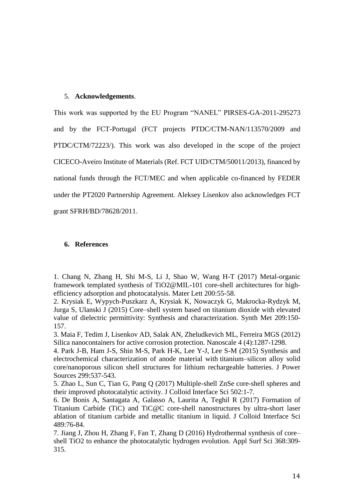#### 5. **Acknowledgements**.

This work was supported by the EU Program "NANEL" PIRSES-GA-2011-295273 and by the FCT-Portugal (FCT projects PTDC/CTM-NAN/113570/2009 and PTDC/CTM/72223/). This work was also developed in the scope of the project CICECO-Aveiro Institute of Materials (Ref. FCT UID/CTM/50011/2013), financed by national funds through the FCT/MEC and when applicable co-financed by FEDER under the PT2020 Partnership Agreement. Aleksey Lisenkov also acknowledges FCT grant SFRH/BD/78628/2011.

#### **6. References**

<span id="page-14-0"></span>1. Chang N, Zhang H, Shi M-S, Li J, Shao W, Wang H-T (2017) Metal-organic framework templated synthesis of TiO2@MIL-101 core-shell architectures for highefficiency adsorption and photocatalysis. Mater Lett 200:55-58.

<span id="page-14-2"></span>2. Krysiak E, Wypych-Puszkarz A, Krysiak K, Nowaczyk G, Makrocka-Rydzyk M, Jurga S, Ulanski J (2015) Core–shell system based on titanium dioxide with elevated value of dielectric permittivity: Synthesis and characterization. Synth Met 209:150- 157.

3. Maia F, Tedim J, Lisenkov AD, Salak AN, Zheludkevich ML, Ferreira MGS (2012) Silica nanocontainers for active corrosion protection. Nanoscale 4 (4):1287-1298.

<span id="page-14-1"></span>4. Park J-B, Ham J-S, Shin M-S, Park H-K, Lee Y-J, Lee S-M (2015) Synthesis and electrochemical characterization of anode material with titanium–silicon alloy solid core/nanoporous silicon shell structures for lithium rechargeable batteries. J Power Sources 299:537-543.

5. Zhao L, Sun C, Tian G, Pang Q (2017) Multiple-shell ZnSe core-shell spheres and their improved photocatalytic activity. J Colloid Interface Sci 502:1-7.

<span id="page-14-3"></span>6. De Bonis A, Santagata A, Galasso A, Laurita A, Teghil R (2017) Formation of Titanium Carbide (TiC) and TiC@C core-shell nanostructures by ultra-short laser ablation of titanium carbide and metallic titanium in liquid. J Colloid Interface Sci 489:76-84.

<span id="page-14-4"></span>7. Jiang J, Zhou H, Zhang F, Fan T, Zhang D (2016) Hydrothermal synthesis of core– shell TiO2 to enhance the photocatalytic hydrogen evolution. Appl Surf Sci 368:309- 315.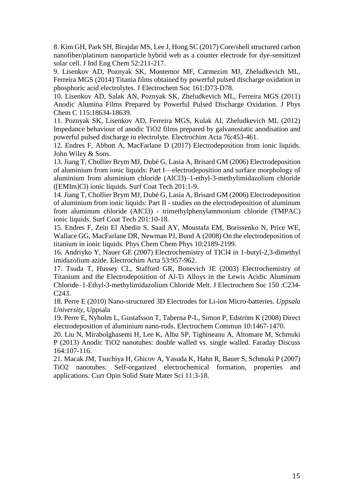<span id="page-15-0"></span>8. Kim GH, Park SH, Birajdar MS, Lee J, Hong SC (2017) Core/shell structured carbon nanofiber/platinum nanoparticle hybrid web as a counter electrode for dye-sensitized solar cell. J Ind Eng Chem 52:211-217.

<span id="page-15-1"></span>9. Lisenkov AD, Poznyak SK, Montemor MF, Carmezim MJ, Zheludkevich ML, Ferreira MGS (2014) Titania films obtained by powerful pulsed discharge oxidation in phosphoric acid electrolytes. J Electrochem Soc 161:D73-D78.

<span id="page-15-2"></span>10. Lisenkov AD, Salak AN, Poznyak SK, Zheludkevich ML, Ferreira MGS (2011) Anodic Alumina Films Prepared by Powerful Pulsed Discharge Oxidation. J Phys Chem C 115:18634-18639.

11. Poznyak SK, Lisenkov AD, Ferreira MGS, Kulak AI, Zheludkevich ML (2012) Impedance behaviour of anodic TiO2 films prepared by galvanostatic anodisation and powerful pulsed discharge in electrolyte. Electrochim Acta 76:453-461.

<span id="page-15-3"></span>12. Endres F, Abbott A, MacFarlane D (2017) Electrodeposition from ionic liquids. John Wiley & Sons.

13. Jiang T, Chollier Brym MJ, Dubé G, Lasia A, Brisard GM (2006) Electrodeposition of aluminium from ionic liquids: Part I—electrodeposition and surface morphology of aluminium from aluminium chloride (AlCl3)–1-ethyl-3-methylimidazolium chloride ([EMIm]Cl) ionic liquids. Surf Coat Tech 201:1-9.

14. Jiang T, Chollier Brym MJ, Dubé G, Lasia A, Brisard GM (2006) Electrodeposition of aluminium from ionic liquids: Part II - studies on the electrodeposition of aluminum from aluminum chloride (AICl3) - trimethylphenylammonium chloride (TMPAC) ionic liquids. Surf Coat Tech 201:10-18.

<span id="page-15-4"></span>15. Endres F, Zein El Abedin S, Saad AY, Moustafa EM, Borissenko N, Price WE, Wallace GG, MacFarlane DR, Newman PJ, Bund A (2008) On the electrodeposition of titanium in ionic liquids. Phys Chem Chem Phys 10:2189-2199.

<span id="page-15-5"></span>16. Andriyko Y, Nauer GE (2007) Electrochemistry of TICl4 in 1-butyl-2,3-dimethyl imidazolium azide. Electrochim Acta 53:957-962.

<span id="page-15-6"></span>17. Tsuda T, Hussey CL, Stafford GR, Bonevich JE (2003) Electrochemistry of Titanium and the Electrodeposition of Al-Ti Alloys in the Lewis Acidic Aluminum Chloride–1-Ethyl-3-methylimidazolium Chloride Melt. J Electrochem Soc 150 :C234- C243.

<span id="page-15-7"></span>18. Perre E (2010) Nano-structured 3D Electrodes for Li-ion Micro-batteries. *Uppsala University*, Uppsala

19. Perre E, Nyholm L, Gustafsson T, Taberna P-L, Simon P, Edström K (2008) Direct electrodeposition of aluminium nano-rods. Electrochem Commun 10:1467-1470.

<span id="page-15-8"></span>20. Liu N, Mirabolghasemi H, Lee K, Albu SP, Tighineanu A, Altomare M, Schmuki P (2013) Anodic TiO2 nanotubes: double walled vs. single walled. Faraday Discuss 164:107-116.

21. Macak JM, Tsuchiya H, Ghicov A, Yasuda K, Hahn R, Bauer S, Schmuki P (2007) TiO2 nanotubes: Self-organized electrochemical formation, properties and applications. Curr Opin Solid State Mater Sci 11:3-18.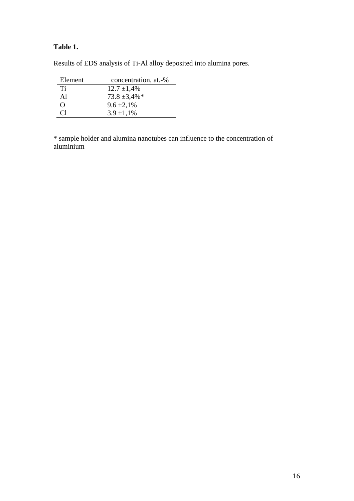### **Table 1.**

| concentration, at.-% |
|----------------------|
| $12.7 \pm 1,4\%$     |
| $73.8 \pm 3.4\%$ *   |
| $9.6 \pm 2.1\%$      |
| $3.9 \pm 1.1\%$      |
|                      |

Results of EDS analysis of Ti-Al alloy deposited into alumina pores.

\* sample holder and alumina nanotubes can influence to the concentration of aluminium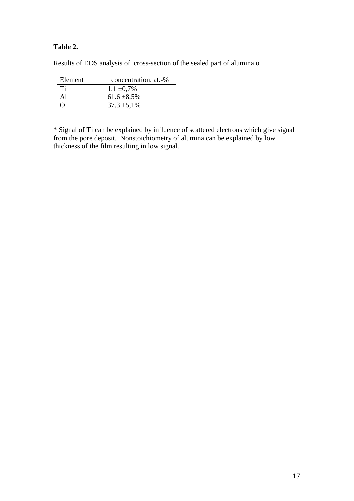#### **Table 2.**

| Element          | concentration, at.-% |
|------------------|----------------------|
| Ti               | $1.1 \pm 0.7\%$      |
| Al               | $61.6 \pm 8.5\%$     |
| $\left( \right)$ | $37.3 \pm 5.1\%$     |

Results of EDS analysis of cross-section of the sealed part of alumina o .

\* Signal of Ti can be explained by influence of scattered electrons which give signal from the pore deposit. Nonstoichiometry of alumina can be explained by low thickness of the film resulting in low signal.